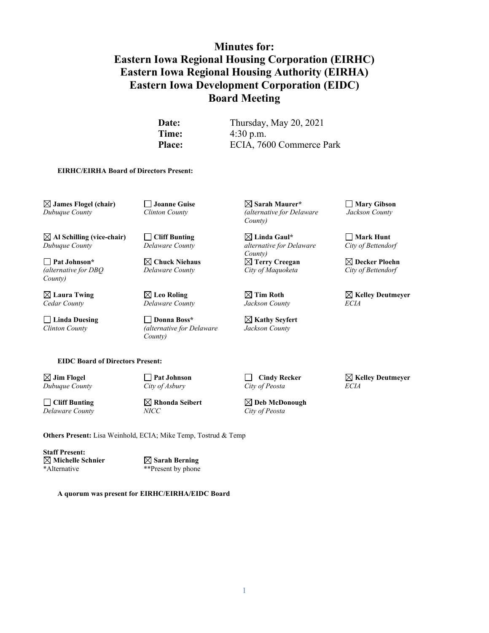# **Minutes for: Eastern Iowa Regional Housing Corporation (EIRHC) Eastern Iowa Regional Housing Authority (EIRHA) Eastern Iowa Development Corporation (EIDC) Board Meeting**

**Date:** Thursday, May 20, 2021 **Time:**  $4:30 \text{ p.m.}$ Place: ECIA, 7600 Commerce Park

#### **EIRHC/EIRHA Board of Directors Present:**

 $\Box$  **James Flogel (chair)**  $\Box$  **Joanne Guise**  $\Box$  **Sarah Maurer\***  $\Box$  **Mary Gibson**  $\Box$  **Mary Gibson**  $\Box$  **Mary Gibson**  $\Box$  **Mary Gibson**  $\Box$  **Mary Gibson**  $\Box$  **Mary Gibson**  $\Box$  **Mary Gibson**  $\Box$  **Mary Gibson**

 $\Box$  **Al Schilling (vice-chair)**  $\Box$  Cliff Bunting<br> *Delaware County*  $\Box$  *Delaware County*  $\Box$  *Mark Hunt*<br> *Delaware County*  $\Box$  *Delaware County alternative for Delaware City of Bettendorf* 

*County)*

*Cedar County Delaware County Jackson County ECIA*

**Linda Duesing Donna Boss\* Kathy Seyfert** *Clinton County (alternative for Delaware Jackson County*

*Dubuque County Clinton County (alternative for Delaware Jackson County County)*

*Dubuque County Delaware County alternative for Delaware City of Bettendorf County)* **Pat Johnson\* Chuck Niehaus Terry Creegan Decker Ploehn** *(alternative for DBQ Delaware County City of Maquoketa City of Bettendorf*

*County)*

**Laura Twing Leo Roling Tim Roth Kelley Deutmeyer**

**EIDC Board of Directors Present:**

**Jim Flogel Pat Johnson Cindy Recker Kelley Deutmeyer** *Dubuque County City of Asbury City of Peosta ECIA*

**<u>□</u> Cliff Bunting Rhonda Seibert Report in Example 2** Deb McDonough *Delaware County NICC NICC City of Peosta Delaware County NICC City of Peosta*

**Others Present:** Lisa Weinhold, ECIA; Mike Temp, Tostrud & Temp

**Staff Present:**<br>⊠ Michelle Schnier **Michelle Schnier Sarah Berning**

\*\*Present by phone

**A quorum was present for EIRHC/EIRHA/EIDC Board**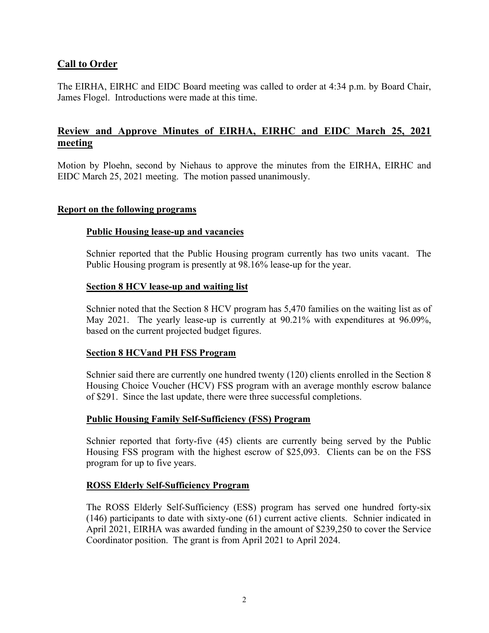### **Call to Order**

The EIRHA, EIRHC and EIDC Board meeting was called to order at 4:34 p.m. by Board Chair, James Flogel. Introductions were made at this time.

# **Review and Approve Minutes of EIRHA, EIRHC and EIDC March 25, 2021 meeting**

Motion by Ploehn, second by Niehaus to approve the minutes from the EIRHA, EIRHC and EIDC March 25, 2021 meeting. The motion passed unanimously.

### **Report on the following programs**

### **Public Housing lease-up and vacancies**

Schnier reported that the Public Housing program currently has two units vacant. The Public Housing program is presently at 98.16% lease-up for the year.

### **Section 8 HCV lease-up and waiting list**

Schnier noted that the Section 8 HCV program has 5,470 families on the waiting list as of May 2021. The yearly lease-up is currently at 90.21% with expenditures at 96.09%, based on the current projected budget figures.

### **Section 8 HCVand PH FSS Program**

Schnier said there are currently one hundred twenty (120) clients enrolled in the Section 8 Housing Choice Voucher (HCV) FSS program with an average monthly escrow balance of \$291. Since the last update, there were three successful completions.

### **Public Housing Family Self-Sufficiency (FSS) Program**

Schnier reported that forty-five (45) clients are currently being served by the Public Housing FSS program with the highest escrow of \$25,093. Clients can be on the FSS program for up to five years.

### **ROSS Elderly Self-Sufficiency Program**

The ROSS Elderly Self-Sufficiency (ESS) program has served one hundred forty-six (146) participants to date with sixty-one (61) current active clients. Schnier indicated in April 2021, EIRHA was awarded funding in the amount of \$239,250 to cover the Service Coordinator position. The grant is from April 2021 to April 2024.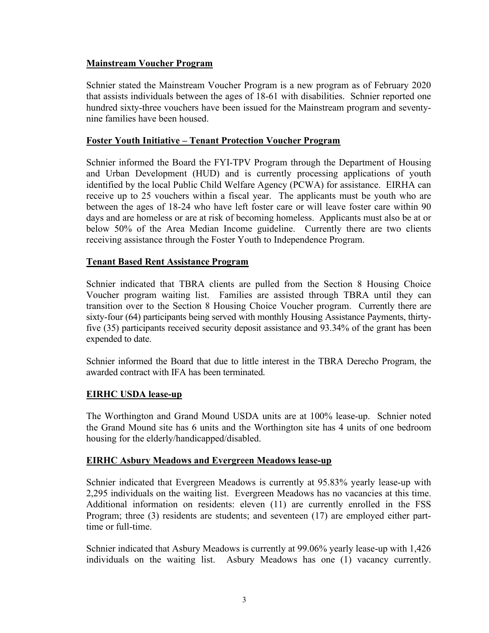### **Mainstream Voucher Program**

Schnier stated the Mainstream Voucher Program is a new program as of February 2020 that assists individuals between the ages of 18-61 with disabilities. Schnier reported one hundred sixty-three vouchers have been issued for the Mainstream program and seventynine families have been housed.

### **Foster Youth Initiative – Tenant Protection Voucher Program**

Schnier informed the Board the FYI-TPV Program through the Department of Housing and Urban Development (HUD) and is currently processing applications of youth identified by the local Public Child Welfare Agency (PCWA) for assistance. EIRHA can receive up to 25 vouchers within a fiscal year. The applicants must be youth who are between the ages of 18-24 who have left foster care or will leave foster care within 90 days and are homeless or are at risk of becoming homeless. Applicants must also be at or below 50% of the Area Median Income guideline. Currently there are two clients receiving assistance through the Foster Youth to Independence Program.

### **Tenant Based Rent Assistance Program**

Schnier indicated that TBRA clients are pulled from the Section 8 Housing Choice Voucher program waiting list. Families are assisted through TBRA until they can transition over to the Section 8 Housing Choice Voucher program. Currently there are sixty-four (64) participants being served with monthly Housing Assistance Payments, thirtyfive (35) participants received security deposit assistance and 93.34% of the grant has been expended to date.

Schnier informed the Board that due to little interest in the TBRA Derecho Program, the awarded contract with IFA has been terminated.

### **EIRHC USDA lease-up**

The Worthington and Grand Mound USDA units are at 100% lease-up. Schnier noted the Grand Mound site has 6 units and the Worthington site has 4 units of one bedroom housing for the elderly/handicapped/disabled.

### **EIRHC Asbury Meadows and Evergreen Meadows lease-up**

Schnier indicated that Evergreen Meadows is currently at 95.83% yearly lease-up with 2,295 individuals on the waiting list. Evergreen Meadows has no vacancies at this time. Additional information on residents: eleven (11) are currently enrolled in the FSS Program; three (3) residents are students; and seventeen (17) are employed either parttime or full-time.

Schnier indicated that Asbury Meadows is currently at 99.06% yearly lease-up with 1,426 individuals on the waiting list. Asbury Meadows has one (1) vacancy currently.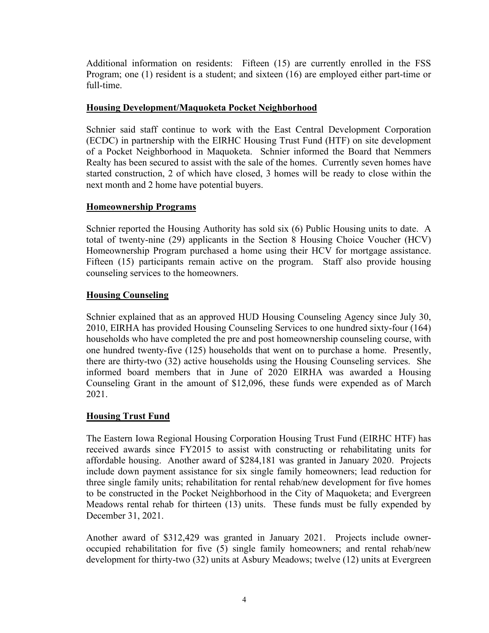Additional information on residents: Fifteen (15) are currently enrolled in the FSS Program; one (1) resident is a student; and sixteen (16) are employed either part-time or full-time.

### **Housing Development/Maquoketa Pocket Neighborhood**

Schnier said staff continue to work with the East Central Development Corporation (ECDC) in partnership with the EIRHC Housing Trust Fund (HTF) on site development of a Pocket Neighborhood in Maquoketa. Schnier informed the Board that Nemmers Realty has been secured to assist with the sale of the homes. Currently seven homes have started construction, 2 of which have closed, 3 homes will be ready to close within the next month and 2 home have potential buyers.

### **Homeownership Programs**

Schnier reported the Housing Authority has sold six (6) Public Housing units to date. A total of twenty-nine (29) applicants in the Section 8 Housing Choice Voucher (HCV) Homeownership Program purchased a home using their HCV for mortgage assistance. Fifteen (15) participants remain active on the program. Staff also provide housing counseling services to the homeowners.

### **Housing Counseling**

Schnier explained that as an approved HUD Housing Counseling Agency since July 30, 2010, EIRHA has provided Housing Counseling Services to one hundred sixty-four (164) households who have completed the pre and post homeownership counseling course, with one hundred twenty-five (125) households that went on to purchase a home. Presently, there are thirty-two (32) active households using the Housing Counseling services. She informed board members that in June of 2020 EIRHA was awarded a Housing Counseling Grant in the amount of \$12,096, these funds were expended as of March 2021.

### **Housing Trust Fund**

The Eastern Iowa Regional Housing Corporation Housing Trust Fund (EIRHC HTF) has received awards since FY2015 to assist with constructing or rehabilitating units for affordable housing. Another award of \$284,181 was granted in January 2020. Projects include down payment assistance for six single family homeowners; lead reduction for three single family units; rehabilitation for rental rehab/new development for five homes to be constructed in the Pocket Neighborhood in the City of Maquoketa; and Evergreen Meadows rental rehab for thirteen (13) units. These funds must be fully expended by December 31, 2021.

Another award of \$312,429 was granted in January 2021. Projects include owneroccupied rehabilitation for five (5) single family homeowners; and rental rehab/new development for thirty-two (32) units at Asbury Meadows; twelve (12) units at Evergreen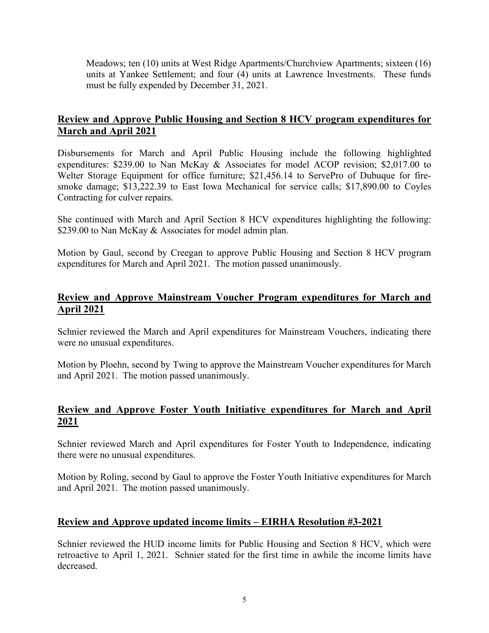Meadows; ten (10) units at West Ridge Apartments/Churchview Apartments; sixteen (16) units at Yankee Settlement; and four (4) units at Lawrence Investments. These funds must be fully expended by December 31, 2021.

# **Review and Approve Public Housing and Section 8 HCV program expenditures for March and April 2021**

Disbursements for March and April Public Housing include the following highlighted expenditures: \$239.00 to Nan McKay & Associates for model ACOP revision; \$2,017.00 to Welter Storage Equipment for office furniture; \$21,456.14 to ServePro of Dubuque for firesmoke damage; \$13,222.39 to East Iowa Mechanical for service calls; \$17,890.00 to Coyles Contracting for culver repairs.

She continued with March and April Section 8 HCV expenditures highlighting the following: \$239.00 to Nan McKay & Associates for model admin plan.

Motion by Gaul, second by Creegan to approve Public Housing and Section 8 HCV program expenditures for March and April 2021. The motion passed unanimously.

# **Review and Approve Mainstream Voucher Program expenditures for March and April 2021**

Schnier reviewed the March and April expenditures for Mainstream Vouchers, indicating there were no unusual expenditures.

Motion by Ploehn, second by Twing to approve the Mainstream Voucher expenditures for March and April 2021. The motion passed unanimously.

# **Review and Approve Foster Youth Initiative expenditures for March and April 2021**

Schnier reviewed March and April expenditures for Foster Youth to Independence, indicating there were no unusual expenditures.

Motion by Roling, second by Gaul to approve the Foster Youth Initiative expenditures for March and April 2021. The motion passed unanimously.

### **Review and Approve updated income limits – EIRHA Resolution #3-2021**

Schnier reviewed the HUD income limits for Public Housing and Section 8 HCV, which were retroactive to April 1, 2021. Schnier stated for the first time in awhile the income limits have decreased.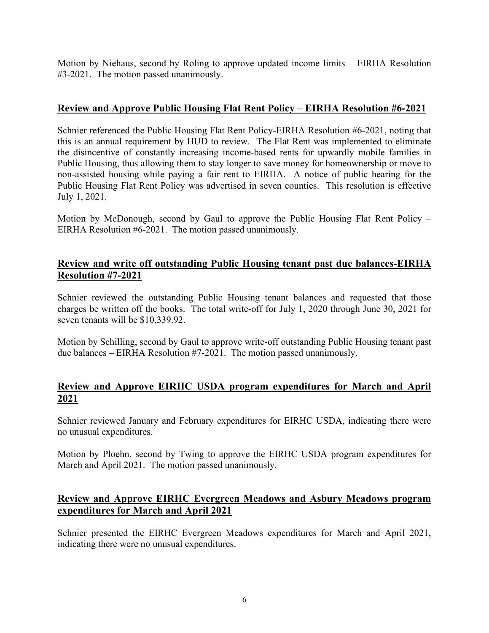Motion by Niehaus, second by Roling to approve updated income limits – EIRHA Resolution #3-2021. The motion passed unanimously.

### **Review and Approve Public Housing Flat Rent Policy – EIRHA Resolution #6-2021**

Schnier referenced the Public Housing Flat Rent Policy-EIRHA Resolution #6-2021, noting that this is an annual requirement by HUD to review. The Flat Rent was implemented to eliminate the disincentive of constantly increasing income-based rents for upwardly mobile families in Public Housing, thus allowing them to stay longer to save money for homeownership or move to non-assisted housing while paying a fair rent to EIRHA. A notice of public hearing for the Public Housing Flat Rent Policy was advertised in seven counties. This resolution is effective July 1, 2021.

Motion by McDonough, second by Gaul to approve the Public Housing Flat Rent Policy – EIRHA Resolution #6-2021. The motion passed unanimously.

### **Review and write off outstanding Public Housing tenant past due balances-EIRHA Resolution #7-2021**

Schnier reviewed the outstanding Public Housing tenant balances and requested that those charges be written off the books. The total write-off for July 1, 2020 through June 30, 2021 for seven tenants will be \$10,339.92.

Motion by Schilling, second by Gaul to approve write-off outstanding Public Housing tenant past due balances – EIRHA Resolution #7-2021. The motion passed unanimously.

# **Review and Approve EIRHC USDA program expenditures for March and April 2021**

Schnier reviewed January and February expenditures for EIRHC USDA, indicating there were no unusual expenditures.

Motion by Ploehn, second by Twing to approve the EIRHC USDA program expenditures for March and April 2021. The motion passed unanimously.

# **Review and Approve EIRHC Evergreen Meadows and Asbury Meadows program expenditures for March and April 2021**

Schnier presented the EIRHC Evergreen Meadows expenditures for March and April 2021, indicating there were no unusual expenditures.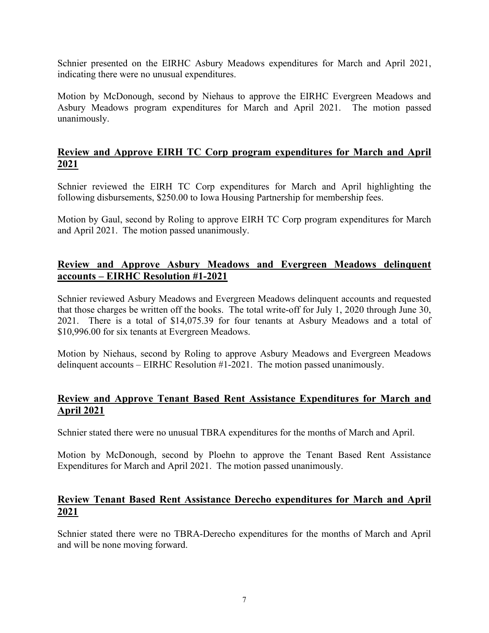Schnier presented on the EIRHC Asbury Meadows expenditures for March and April 2021, indicating there were no unusual expenditures.

Motion by McDonough, second by Niehaus to approve the EIRHC Evergreen Meadows and Asbury Meadows program expenditures for March and April 2021. The motion passed unanimously.

# **Review and Approve EIRH TC Corp program expenditures for March and April 2021**

Schnier reviewed the EIRH TC Corp expenditures for March and April highlighting the following disbursements, \$250.00 to Iowa Housing Partnership for membership fees.

Motion by Gaul, second by Roling to approve EIRH TC Corp program expenditures for March and April 2021. The motion passed unanimously.

### **Review and Approve Asbury Meadows and Evergreen Meadows delinquent accounts – EIRHC Resolution #1-2021**

Schnier reviewed Asbury Meadows and Evergreen Meadows delinquent accounts and requested that those charges be written off the books. The total write-off for July 1, 2020 through June 30, 2021. There is a total of \$14,075.39 for four tenants at Asbury Meadows and a total of \$10,996.00 for six tenants at Evergreen Meadows.

Motion by Niehaus, second by Roling to approve Asbury Meadows and Evergreen Meadows delinquent accounts – EIRHC Resolution #1-2021. The motion passed unanimously.

# **Review and Approve Tenant Based Rent Assistance Expenditures for March and April 2021**

Schnier stated there were no unusual TBRA expenditures for the months of March and April.

Motion by McDonough, second by Ploehn to approve the Tenant Based Rent Assistance Expenditures for March and April 2021. The motion passed unanimously.

### **Review Tenant Based Rent Assistance Derecho expenditures for March and April 2021**

Schnier stated there were no TBRA-Derecho expenditures for the months of March and April and will be none moving forward.